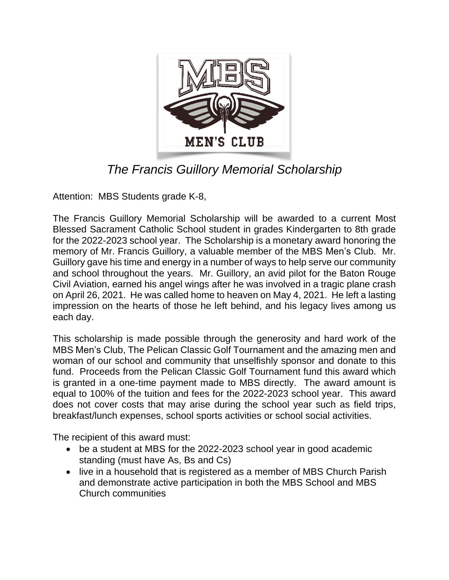

## *The Francis Guillory Memorial Scholarship*

Attention: MBS Students grade K-8,

The Francis Guillory Memorial Scholarship will be awarded to a current Most Blessed Sacrament Catholic School student in grades Kindergarten to 8th grade for the 2022-2023 school year. The Scholarship is a monetary award honoring the memory of Mr. Francis Guillory, a valuable member of the MBS Men's Club. Mr. Guillory gave his time and energy in a number of ways to help serve our community and school throughout the years. Mr. Guillory, an avid pilot for the Baton Rouge Civil Aviation, earned his angel wings after he was involved in a tragic plane crash on April 26, 2021. He was called home to heaven on May 4, 2021. He left a lasting impression on the hearts of those he left behind, and his legacy lives among us each day.

This scholarship is made possible through the generosity and hard work of the MBS Men's Club, The Pelican Classic Golf Tournament and the amazing men and woman of our school and community that unselfishly sponsor and donate to this fund. Proceeds from the Pelican Classic Golf Tournament fund this award which is granted in a one-time payment made to MBS directly. The award amount is equal to 100% of the tuition and fees for the 2022-2023 school year. This award does not cover costs that may arise during the school year such as field trips, breakfast/lunch expenses, school sports activities or school social activities.

The recipient of this award must:

- be a student at MBS for the 2022-2023 school year in good academic standing (must have As, Bs and Cs)
- live in a household that is registered as a member of MBS Church Parish and demonstrate active participation in both the MBS School and MBS Church communities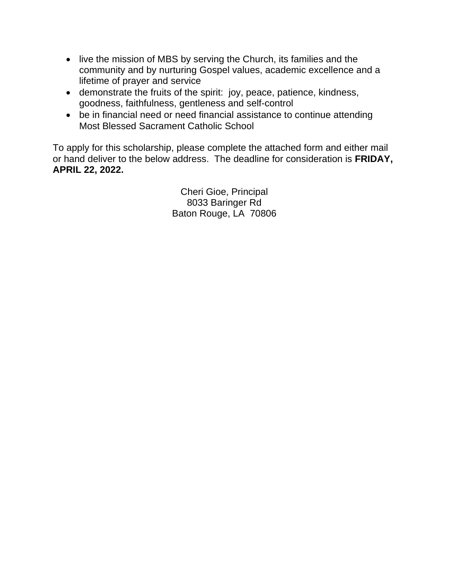- live the mission of MBS by serving the Church, its families and the community and by nurturing Gospel values, academic excellence and a lifetime of prayer and service
- demonstrate the fruits of the spirit: joy, peace, patience, kindness, goodness, faithfulness, gentleness and self-control
- be in financial need or need financial assistance to continue attending Most Blessed Sacrament Catholic School

To apply for this scholarship, please complete the attached form and either mail or hand deliver to the below address. The deadline for consideration is **FRIDAY, APRIL 22, 2022.**

> Cheri Gioe, Principal 8033 Baringer Rd Baton Rouge, LA 70806